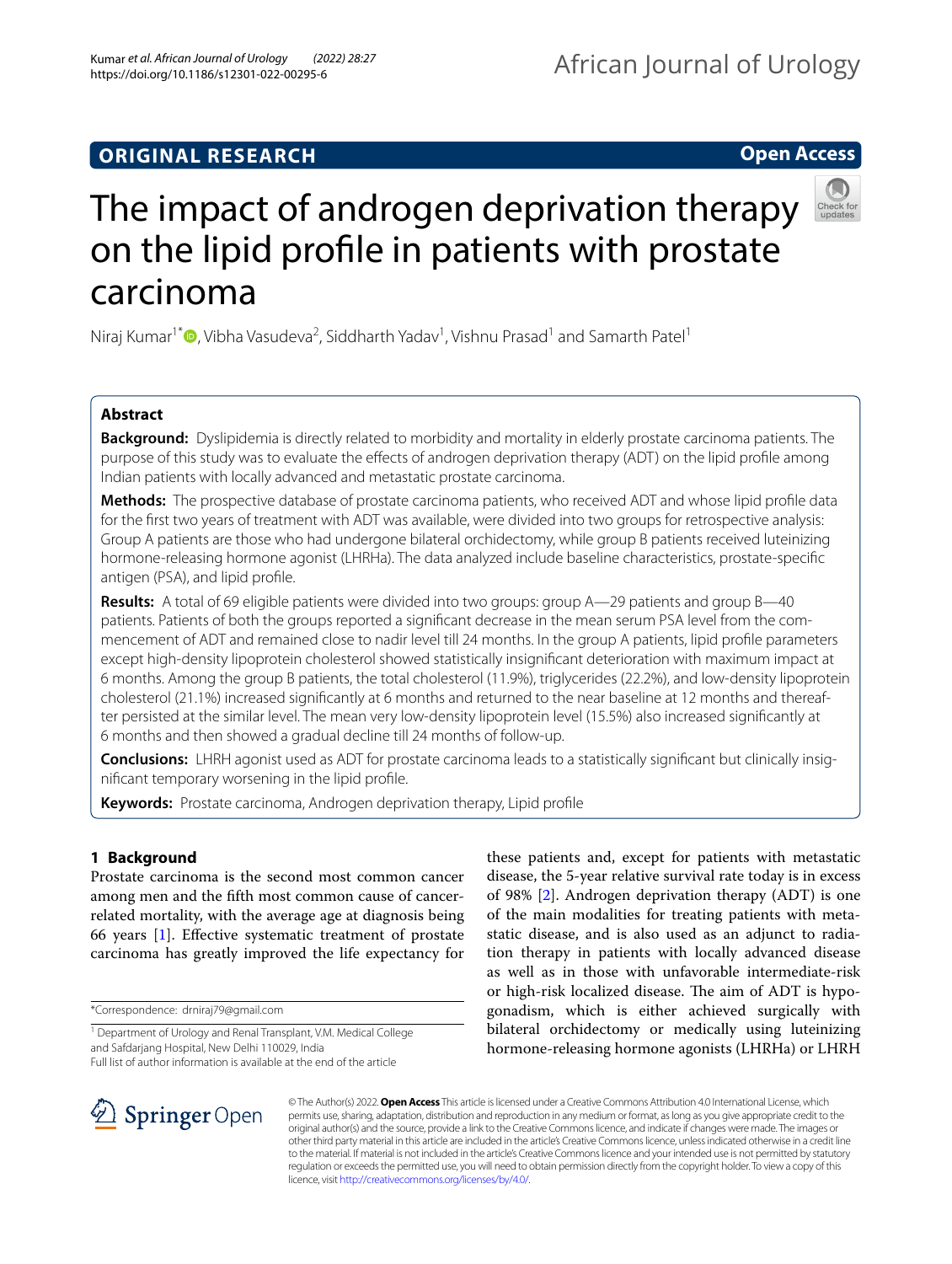# **Open Access**



# The impact of androgen deprivation therapy on the lipid profle in patients with prostate carcinoma

Niraj Kumar<sup>1[\\*](http://orcid.org/0000-0002-9811-5492)</sup> D, Vibha Vasudeva<sup>2</sup>, Siddharth Yadav<sup>1</sup>, Vishnu Prasad<sup>1</sup> and Samarth Patel<sup>1</sup>

# **Abstract**

**Background:** Dyslipidemia is directly related to morbidity and mortality in elderly prostate carcinoma patients. The purpose of this study was to evaluate the effects of androgen deprivation therapy (ADT) on the lipid profile among Indian patients with locally advanced and metastatic prostate carcinoma.

**Methods:** The prospective database of prostate carcinoma patients, who received ADT and whose lipid profle data for the frst two years of treatment with ADT was available, were divided into two groups for retrospective analysis: Group A patients are those who had undergone bilateral orchidectomy, while group B patients received luteinizing hormone-releasing hormone agonist (LHRHa). The data analyzed include baseline characteristics, prostate-specifc antigen (PSA), and lipid profle.

**Results:** A total of 69 eligible patients were divided into two groups: group A—29 patients and group B—40 patients. Patients of both the groups reported a signifcant decrease in the mean serum PSA level from the commencement of ADT and remained close to nadir level till 24 months. In the group A patients, lipid profle parameters except high-density lipoprotein cholesterol showed statistically insignifcant deterioration with maximum impact at 6 months. Among the group B patients, the total cholesterol (11.9%), triglycerides (22.2%), and low-density lipoprotein cholesterol (21.1%) increased signifcantly at 6 months and returned to the near baseline at 12 months and thereafter persisted at the similar level. The mean very low-density lipoprotein level (15.5%) also increased signifcantly at 6 months and then showed a gradual decline till 24 months of follow-up.

**Conclusions:** LHRH agonist used as ADT for prostate carcinoma leads to a statistically signifcant but clinically insignifcant temporary worsening in the lipid profle.

**Keywords:** Prostate carcinoma, Androgen deprivation therapy, Lipid profle

# **1 Background**

Prostate carcinoma is the second most common cancer among men and the ffth most common cause of cancerrelated mortality, with the average age at diagnosis being 66 years [\[1](#page-4-0)]. Efective systematic treatment of prostate carcinoma has greatly improved the life expectancy for

\*Correspondence: drniraj79@gmail.com

Full list of author information is available at the end of the article

these patients and, except for patients with metastatic disease, the 5-year relative survival rate today is in excess of 98% [[2\]](#page-4-1). Androgen deprivation therapy (ADT) is one of the main modalities for treating patients with metastatic disease, and is also used as an adjunct to radiation therapy in patients with locally advanced disease as well as in those with unfavorable intermediate-risk or high-risk localized disease. The aim of ADT is hypogonadism, which is either achieved surgically with bilateral orchidectomy or medically using luteinizing hormone-releasing hormone agonists (LHRHa) or LHRH



© The Author(s) 2022. **Open Access** This article is licensed under a Creative Commons Attribution 4.0 International License, which permits use, sharing, adaptation, distribution and reproduction in any medium or format, as long as you give appropriate credit to the original author(s) and the source, provide a link to the Creative Commons licence, and indicate if changes were made. The images or other third party material in this article are included in the article's Creative Commons licence, unless indicated otherwise in a credit line to the material. If material is not included in the article's Creative Commons licence and your intended use is not permitted by statutory regulation or exceeds the permitted use, you will need to obtain permission directly from the copyright holder. To view a copy of this licence, visit [http://creativecommons.org/licenses/by/4.0/.](http://creativecommons.org/licenses/by/4.0/)

<sup>&</sup>lt;sup>1</sup> Department of Urology and Renal Transplant, V.M. Medical College and Safdarjang Hospital, New Delhi 110029, India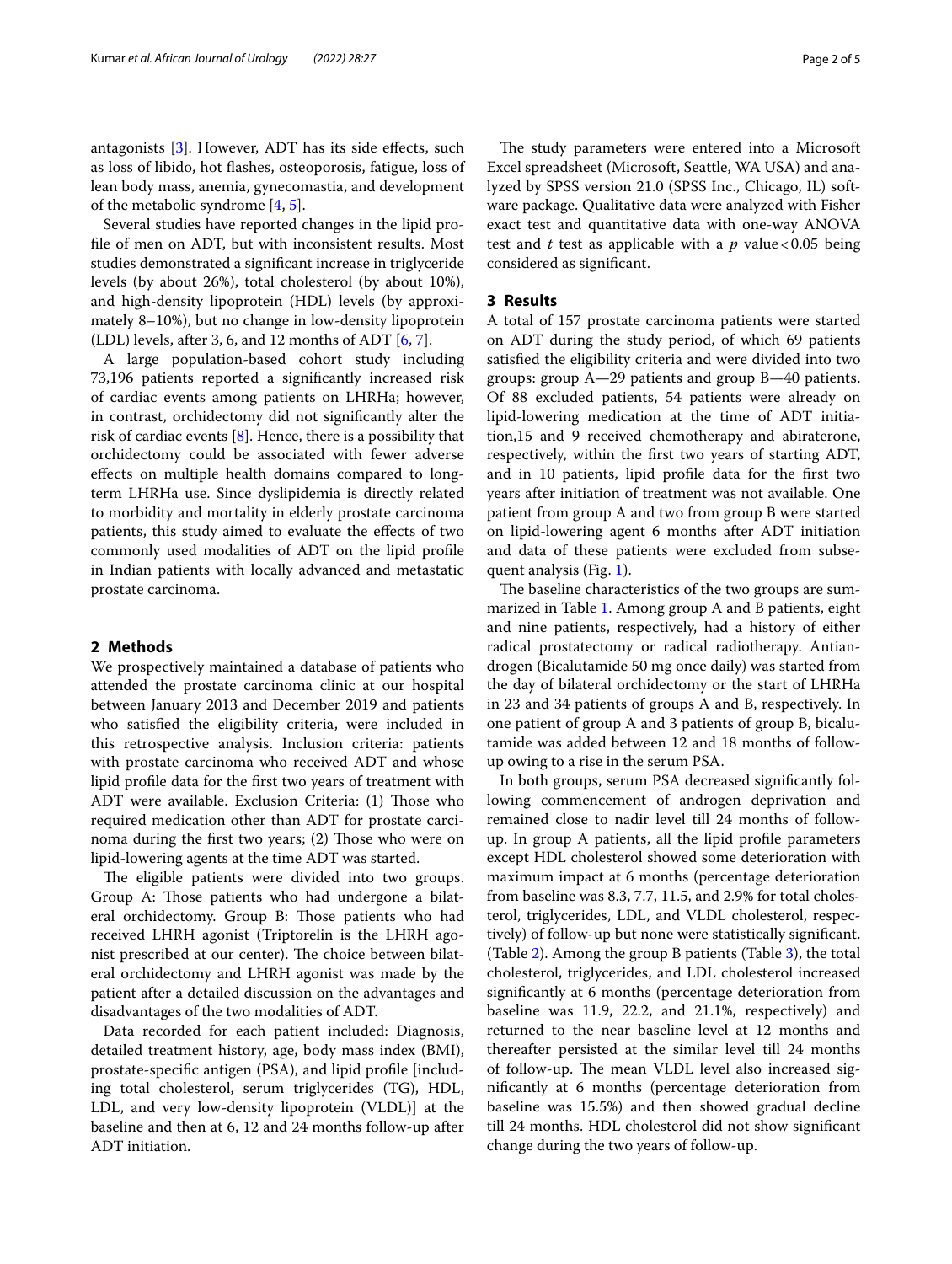antagonists  $[3]$  $[3]$ . However, ADT has its side effects, such as loss of libido, hot fashes, osteoporosis, fatigue, loss of lean body mass, anemia, gynecomastia, and development of the metabolic syndrome [\[4](#page-4-3), [5\]](#page-4-4).

Several studies have reported changes in the lipid profle of men on ADT, but with inconsistent results. Most studies demonstrated a signifcant increase in triglyceride levels (by about 26%), total cholesterol (by about 10%), and high-density lipoprotein (HDL) levels (by approximately 8–10%), but no change in low-density lipoprotein (LDL) levels, after 3, [6,](#page-4-5) and 12 months of ADT  $[6, 7]$  $[6, 7]$  $[6, 7]$ .

A large population-based cohort study including 73,196 patients reported a signifcantly increased risk of cardiac events among patients on LHRHa; however, in contrast, orchidectomy did not signifcantly alter the risk of cardiac events [\[8\]](#page-4-7). Hence, there is a possibility that orchidectomy could be associated with fewer adverse efects on multiple health domains compared to longterm LHRHa use. Since dyslipidemia is directly related to morbidity and mortality in elderly prostate carcinoma patients, this study aimed to evaluate the efects of two commonly used modalities of ADT on the lipid profle in Indian patients with locally advanced and metastatic prostate carcinoma.

# **2 Methods**

We prospectively maintained a database of patients who attended the prostate carcinoma clinic at our hospital between January 2013 and December 2019 and patients who satisfed the eligibility criteria, were included in this retrospective analysis. Inclusion criteria: patients with prostate carcinoma who received ADT and whose lipid profle data for the frst two years of treatment with ADT were available. Exclusion Criteria: (1) Those who required medication other than ADT for prostate carcinoma during the first two years;  $(2)$  Those who were on lipid-lowering agents at the time ADT was started.

The eligible patients were divided into two groups. Group A: Those patients who had undergone a bilateral orchidectomy. Group B: Those patients who had received LHRH agonist (Triptorelin is the LHRH agonist prescribed at our center). The choice between bilateral orchidectomy and LHRH agonist was made by the patient after a detailed discussion on the advantages and disadvantages of the two modalities of ADT.

Data recorded for each patient included: Diagnosis, detailed treatment history, age, body mass index (BMI), prostate-specifc antigen (PSA), and lipid profle [including total cholesterol, serum triglycerides (TG), HDL, LDL, and very low-density lipoprotein (VLDL)] at the baseline and then at 6, 12 and 24 months follow-up after ADT initiation.

The study parameters were entered into a Microsoft Excel spreadsheet (Microsoft, Seattle, WA USA) and analyzed by SPSS version 21.0 (SPSS Inc., Chicago, IL) software package. Qualitative data were analyzed with Fisher exact test and quantitative data with one-way ANOVA test and *t* test as applicable with a  $p$  value < 0.05 being considered as signifcant.

# **3 Results**

A total of 157 prostate carcinoma patients were started on ADT during the study period, of which 69 patients satisfed the eligibility criteria and were divided into two groups: group A—29 patients and group B—40 patients. Of 88 excluded patients, 54 patients were already on lipid-lowering medication at the time of ADT initiation,15 and 9 received chemotherapy and abiraterone, respectively, within the frst two years of starting ADT, and in 10 patients, lipid profle data for the frst two years after initiation of treatment was not available. One patient from group A and two from group B were started on lipid-lowering agent 6 months after ADT initiation and data of these patients were excluded from subsequent analysis (Fig. [1\)](#page-2-0).

The baseline characteristics of the two groups are summarized in Table [1.](#page-2-1) Among group A and B patients, eight and nine patients, respectively, had a history of either radical prostatectomy or radical radiotherapy. Antiandrogen (Bicalutamide 50 mg once daily) was started from the day of bilateral orchidectomy or the start of LHRHa in 23 and 34 patients of groups A and B, respectively. In one patient of group A and 3 patients of group B, bicalutamide was added between 12 and 18 months of followup owing to a rise in the serum PSA.

In both groups, serum PSA decreased signifcantly following commencement of androgen deprivation and remained close to nadir level till 24 months of followup. In group A patients, all the lipid profle parameters except HDL cholesterol showed some deterioration with maximum impact at 6 months (percentage deterioration from baseline was 8.3, 7.7, 11.5, and 2.9% for total cholesterol, triglycerides, LDL, and VLDL cholesterol, respectively) of follow-up but none were statistically signifcant. (Table [2\)](#page-3-0). Among the group B patients (Table [3\)](#page-3-1), the total cholesterol, triglycerides, and LDL cholesterol increased signifcantly at 6 months (percentage deterioration from baseline was 11.9, 22.2, and 21.1%, respectively) and returned to the near baseline level at 12 months and thereafter persisted at the similar level till 24 months of follow-up. The mean VLDL level also increased signifcantly at 6 months (percentage deterioration from baseline was 15.5%) and then showed gradual decline till 24 months. HDL cholesterol did not show signifcant change during the two years of follow-up.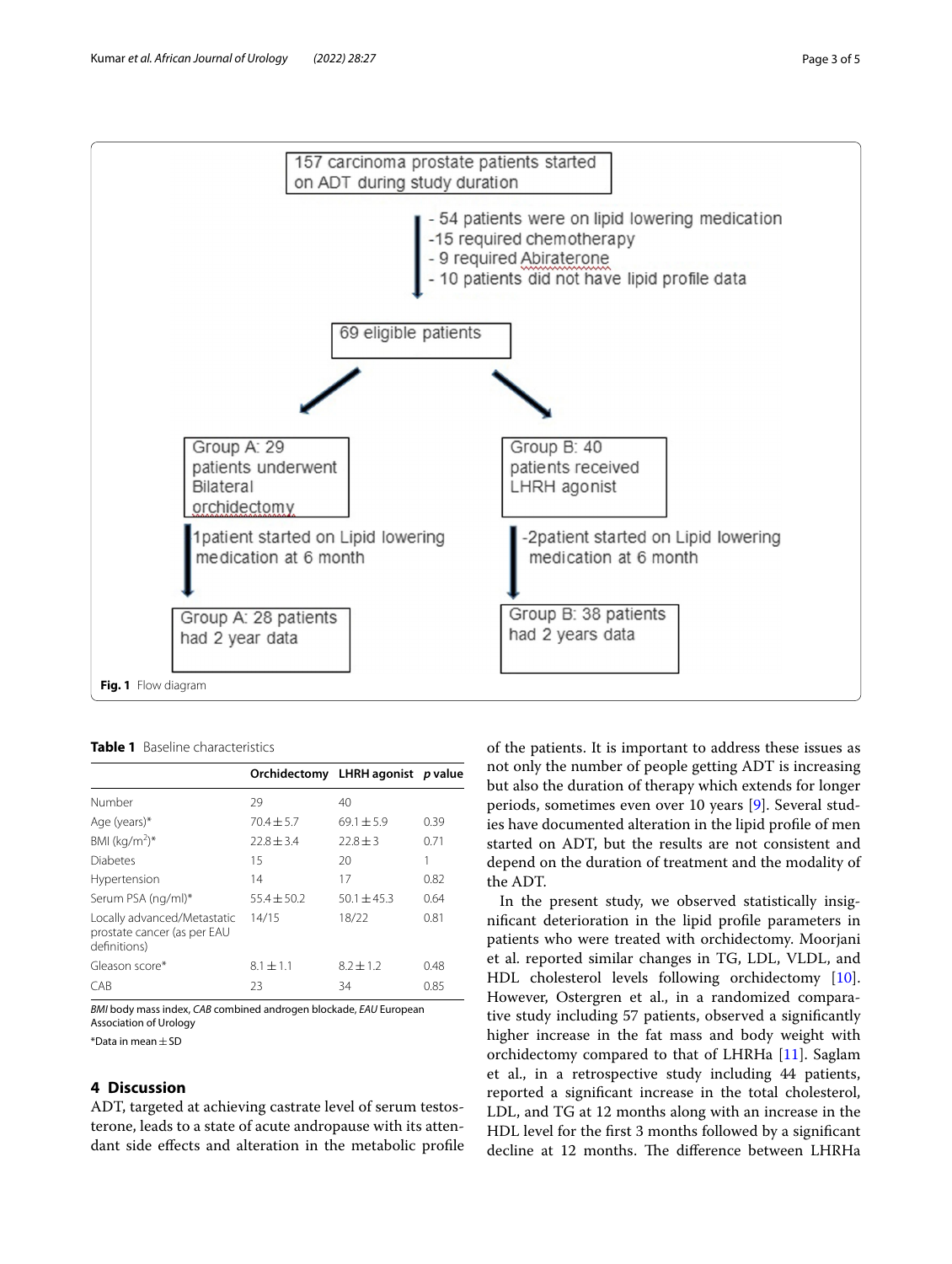

<span id="page-2-1"></span><span id="page-2-0"></span>**Table 1** Baseline characteristics

|                                                                            |                | Orchidectomy LHRH agonist p value |      |
|----------------------------------------------------------------------------|----------------|-----------------------------------|------|
| Number                                                                     | 29             | 40                                |      |
| Age (years)*                                                               | $70.4 \pm 5.7$ | $69.1 + 5.9$                      | 0.39 |
| BMI $(kq/m^2)^*$                                                           | $72.8 + 3.4$   | $72.8 + 3$                        | 0.71 |
| Diabetes                                                                   | 15             | 20                                |      |
| Hypertension                                                               | 14             | 17                                | 0.82 |
| Serum PSA (ng/ml)*                                                         | $55.4 + 50.2$  | $50.1 + 45.3$                     | 0.64 |
| Locally advanced/Metastatic<br>prostate cancer (as per EAU<br>definitions) | 14/15          | 18/22                             | 0.81 |
| Gleason score*                                                             | $8.1 + 1.1$    | $8.2 + 1.2$                       | 0.48 |
| CAB                                                                        | 23             | 34                                | 0.85 |

*BMI* body mass index, *CAB* combined androgen blockade, *EAU* European Association of Urology

\*Data in mean±SD

# **4 Discussion**

ADT, targeted at achieving castrate level of serum testosterone, leads to a state of acute andropause with its attendant side efects and alteration in the metabolic profle of the patients. It is important to address these issues as not only the number of people getting ADT is increasing but also the duration of therapy which extends for longer periods, sometimes even over 10 years [\[9](#page-4-8)]. Several studies have documented alteration in the lipid profle of men started on ADT, but the results are not consistent and depend on the duration of treatment and the modality of the ADT.

In the present study, we observed statistically insignifcant deterioration in the lipid profle parameters in patients who were treated with orchidectomy. Moorjani et al. reported similar changes in TG, LDL, VLDL, and HDL cholesterol levels following orchidectomy [\[10](#page-4-9)]. However, Ostergren et al., in a randomized comparative study including 57 patients, observed a signifcantly higher increase in the fat mass and body weight with orchidectomy compared to that of LHRHa [\[11](#page-4-10)]. Saglam et al., in a retrospective study including 44 patients, reported a signifcant increase in the total cholesterol, LDL, and TG at 12 months along with an increase in the HDL level for the frst 3 months followed by a signifcant decline at 12 months. The difference between LHRHa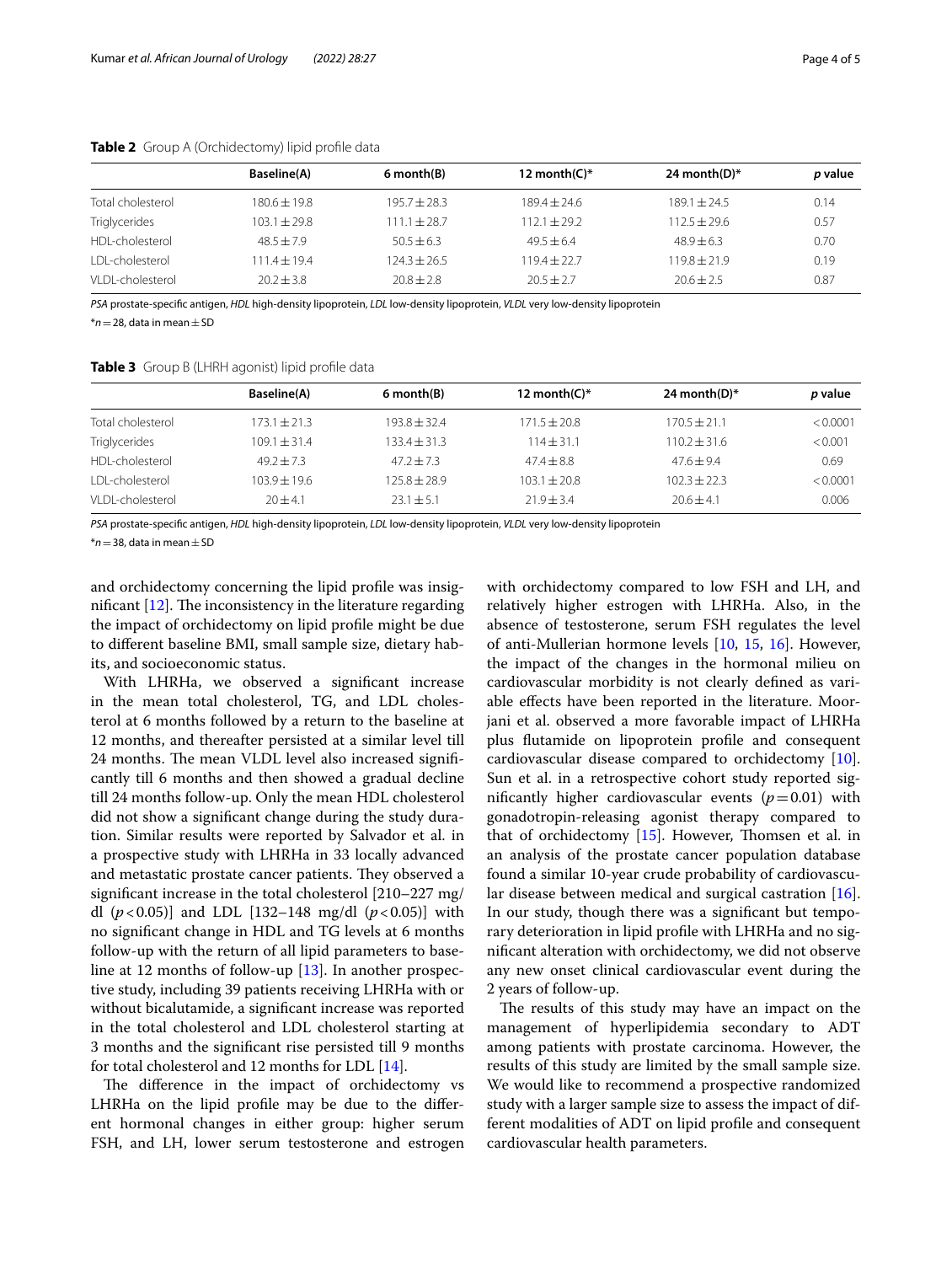|                   | <b>Baseline(A)</b> | 6 month(B)     | 12 month( $C$ )* | 24 month(D) $*$ | p value |
|-------------------|--------------------|----------------|------------------|-----------------|---------|
| Total cholesterol | $180.6 \pm 19.8$   | $195.7 + 28.3$ | $189.4 + 24.6$   | $189.1 + 24.5$  | 0.14    |
| Triglycerides     | $103.1 + 29.8$     | $111.1 + 28.7$ | $1121 + 292$     | $1125 + 296$    | 0.57    |
| HDI-cholesterol   | $48.5 + 7.9$       | $50.5 + 6.3$   | $49.5 + 6.4$     | $48.9 + 6.3$    | 0.70    |
| I DI-cholesterol  | $1114 + 194$       | $124.3 + 26.5$ | $119.4 + 22.7$   | $119.8 + 21.9$  | 0.19    |
| VI DI-cholesterol | $20.2 + 3.8$       | $20.8 + 2.8$   | $20.5 + 2.7$     | $20.6 \pm 2.5$  | 0.87    |

## <span id="page-3-0"></span>**Table 2** Group A (Orchidectomy) lipid profle data

*PSA* prostate-specifc antigen, *HDL* high-density lipoprotein, *LDL* low-density lipoprotein, *VLDL* very low-density lipoprotein

 $*$ *n*=28, data in mean  $+$  SD

## <span id="page-3-1"></span>**Table 3** Group B (LHRH agonist) lipid profle data

|                        | Baseline(A)      | 6 month(B)       | 12 month( $C$ )* | 24 month(D)*     | p value  |
|------------------------|------------------|------------------|------------------|------------------|----------|
| Total cholesterol      | $173.1 \pm 21.3$ | $193.8 + 32.4$   | $171.5 \pm 20.8$ | $170.5 + 21.1$   | < 0.0001 |
| <b>Triglycerides</b>   | $109.1 \pm 31.4$ | $133.4 \pm 31.3$ | $114 + 31.1$     | $110.2 \pm 31.6$ | < 0.001  |
| HDI-cholesterol        | $49.2 + 7.3$     | $47.2 + 7.3$     | $47.4 + 8.8$     | $47.6 + 9.4$     | 0.69     |
| <b>IDI-cholesterol</b> | $103.9 + 19.6$   | $125.8 + 28.9$   | $103.1 + 20.8$   | $102.3 + 22.3$   | < 0.0001 |
| VI DI-cholesterol      | $20 + 4.1$       | $23.1 \pm 5.1$   | $21.9 + 3.4$     | $20.6 + 4.1$     | 0.006    |

*PSA* prostate-specifc antigen, *HDL* high-density lipoprotein, *LDL* low-density lipoprotein, *VLDL* very low-density lipoprotein

\**n*=38, data in mean±SD

and orchidectomy concerning the lipid profle was insignificant  $[12]$  $[12]$ . The inconsistency in the literature regarding the impact of orchidectomy on lipid profle might be due to diferent baseline BMI, small sample size, dietary habits, and socioeconomic status.

With LHRHa, we observed a signifcant increase in the mean total cholesterol, TG, and LDL cholesterol at 6 months followed by a return to the baseline at 12 months, and thereafter persisted at a similar level till 24 months. The mean VLDL level also increased significantly till 6 months and then showed a gradual decline till 24 months follow-up. Only the mean HDL cholesterol did not show a signifcant change during the study duration. Similar results were reported by Salvador et al. in a prospective study with LHRHa in 33 locally advanced and metastatic prostate cancer patients. They observed a signifcant increase in the total cholesterol [210–227 mg/ dl  $(p<0.05)$ ] and LDL [132–148 mg/dl  $(p<0.05)$ ] with no signifcant change in HDL and TG levels at 6 months follow-up with the return of all lipid parameters to baseline at 12 months of follow-up [[13\]](#page-4-12). In another prospective study, including 39 patients receiving LHRHa with or without bicalutamide, a signifcant increase was reported in the total cholesterol and LDL cholesterol starting at 3 months and the signifcant rise persisted till 9 months for total cholesterol and 12 months for LDL [[14\]](#page-4-13).

The difference in the impact of orchidectomy vs LHRHa on the lipid profle may be due to the diferent hormonal changes in either group: higher serum FSH, and LH, lower serum testosterone and estrogen with orchidectomy compared to low FSH and LH, and relatively higher estrogen with LHRHa. Also, in the absence of testosterone, serum FSH regulates the level of anti-Mullerian hormone levels [\[10,](#page-4-9) [15](#page-4-14), [16](#page-4-15)]. However, the impact of the changes in the hormonal milieu on cardiovascular morbidity is not clearly defned as variable efects have been reported in the literature. Moorjani et al. observed a more favorable impact of LHRHa plus futamide on lipoprotein profle and consequent cardiovascular disease compared to orchidectomy [\[10](#page-4-9)]. Sun et al. in a retrospective cohort study reported significantly higher cardiovascular events  $(p=0.01)$  with gonadotropin-releasing agonist therapy compared to that of orchidectomy  $[15]$ . However, Thomsen et al. in an analysis of the prostate cancer population database found a similar 10-year crude probability of cardiovascular disease between medical and surgical castration [\[16](#page-4-15)]. In our study, though there was a signifcant but temporary deterioration in lipid profle with LHRHa and no signifcant alteration with orchidectomy, we did not observe any new onset clinical cardiovascular event during the 2 years of follow-up.

The results of this study may have an impact on the management of hyperlipidemia secondary to ADT among patients with prostate carcinoma. However, the results of this study are limited by the small sample size. We would like to recommend a prospective randomized study with a larger sample size to assess the impact of different modalities of ADT on lipid profle and consequent cardiovascular health parameters.